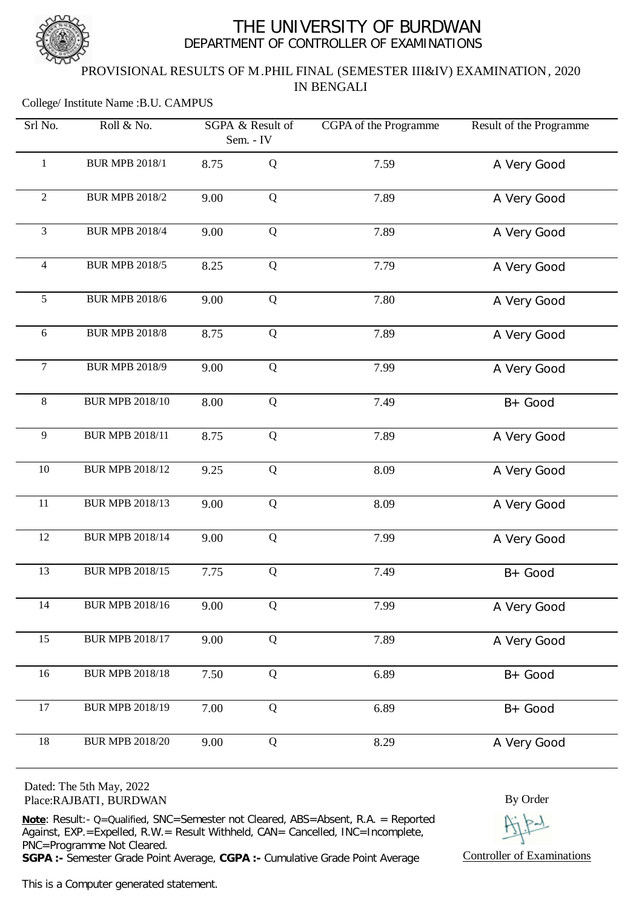

## THE UNIVERSITY OF BURDWAN DEPARTMENT OF CONTROLLER OF EXAMINATIONS

## PROVISIONAL RESULTS OF M.PHIL FINAL (SEMESTER III&IV) EXAMINATION, 2020 IN BENGALI

#### College/ Institute Name :B.U. CAMPUS

| Srl No.        | Roll & No.             | SGPA & Result of<br>Sem. - IV |             | CGPA of the Programme | Result of the Programme |
|----------------|------------------------|-------------------------------|-------------|-----------------------|-------------------------|
| $\mathbf{1}$   | <b>BUR MPB 2018/1</b>  | 8.75                          | Q           | 7.59                  | A Very Good             |
| $\sqrt{2}$     | <b>BUR MPB 2018/2</b>  | 9.00                          | Q           | 7.89                  | A Very Good             |
| 3              | <b>BUR MPB 2018/4</b>  | 9.00                          | Q           | 7.89                  | A Very Good             |
| $\overline{4}$ | <b>BUR MPB 2018/5</b>  | 8.25                          | Q           | 7.79                  | A Very Good             |
| 5              | <b>BUR MPB 2018/6</b>  | 9.00                          | Q           | 7.80                  | A Very Good             |
| 6              | <b>BUR MPB 2018/8</b>  | 8.75                          | Q           | 7.89                  | A Very Good             |
| $\overline{7}$ | <b>BUR MPB 2018/9</b>  | 9.00                          | Q           | 7.99                  | A Very Good             |
| $\,8\,$        | <b>BUR MPB 2018/10</b> | 8.00                          | Q           | 7.49                  | B+ Good                 |
| $\overline{9}$ | <b>BUR MPB 2018/11</b> | 8.75                          | Q           | 7.89                  | A Very Good             |
| 10             | <b>BUR MPB 2018/12</b> | 9.25                          | Q           | 8.09                  | A Very Good             |
| 11             | <b>BUR MPB 2018/13</b> | 9.00                          | Q           | 8.09                  | A Very Good             |
| 12             | <b>BUR MPB 2018/14</b> | 9.00                          | Q           | 7.99                  | A Very Good             |
| 13             | <b>BUR MPB 2018/15</b> | 7.75                          | Q           | 7.49                  | B+ Good                 |
| 14             | <b>BUR MPB 2018/16</b> | 9.00                          | Q           | 7.99                  | A Very Good             |
| 15             | <b>BUR MPB 2018/17</b> | 9.00                          | $\mathbf Q$ | 7.89                  | A Very Good             |
| 16             | <b>BUR MPB 2018/18</b> | 7.50                          | Q           | 6.89                  | $B + Good$              |
| 17             | <b>BUR MPB 2018/19</b> | 7.00                          | Q           | 6.89                  | B+ Good                 |
| 18             | <b>BUR MPB 2018/20</b> | 9.00                          | Q           | 8.29                  | A Very Good             |

Dated: The 5th May, 2022 Place:RAJBATI, BURDWAN

**Note**: Result:- Q=Qualified, SNC=Semester not Cleared, ABS=Absent, R.A. = Reported  $\overline{Agains}$ , EXP. = Expelled, R.W. = Result Withheld, CAN= Cancelled, INC=Incomplete, PNC=Programme Not Cleared.

**SGPA :-** Semester Grade Point Average, **CGPA :-** Cumulative Grade Point Average

This is a Computer generated statement.

By Order

Controller of Examinations